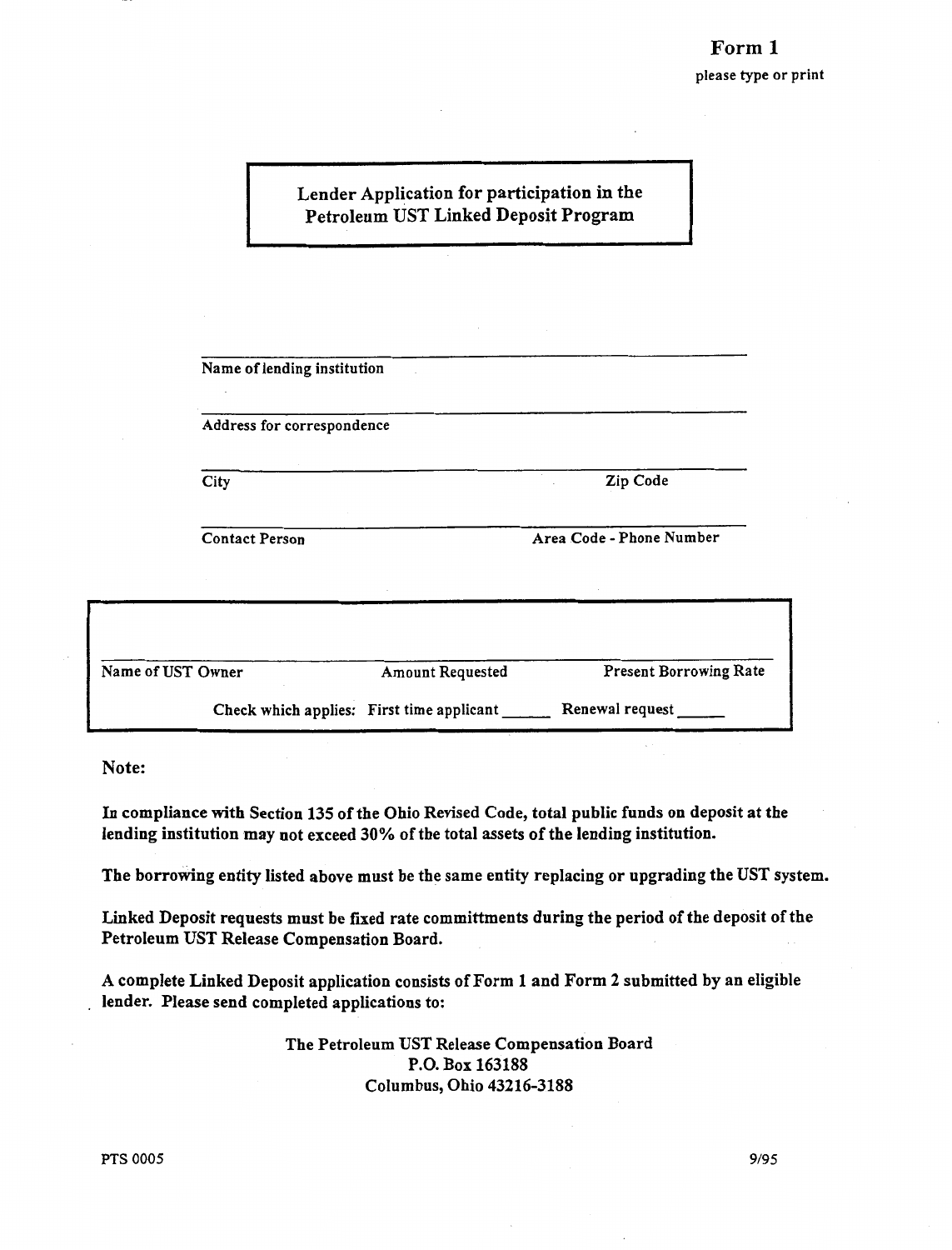## Lender Application for participation in the Petroleum UST Linked Deposit Program

| Name of lending institution |                                           |                               |
|-----------------------------|-------------------------------------------|-------------------------------|
| Address for correspondence  |                                           |                               |
| City                        |                                           | Zip Code                      |
| <b>Contact Person</b>       |                                           | Area Code - Phone Number      |
|                             |                                           |                               |
| of UST Owner                | <b>Amount Requested</b>                   | <b>Present Borrowing Rate</b> |
|                             | Check which applies: First time applicant | Renewal request               |

Note:

Name

In compliance with Section 135 of the Ohio Revised Code, total public funds on deposit at the lending institution may not exceed 30% of the total assets of the lending institution.

The borrowing entity listed above must be the same entity replacing or upgrading the UST system.

Linked Deposit requests must be fixed rate committments during the period of the deposit of the Petroleum UST Release Compensation Board.

A complete Linked Deposit application consists of Form 1 and Form 2 submitted by an eligible lender. Please send completed applications to:

> The Petroleum UST Release Compensation Board P.O. Box 163188 Columbus, Ohio 43216-3188

9/95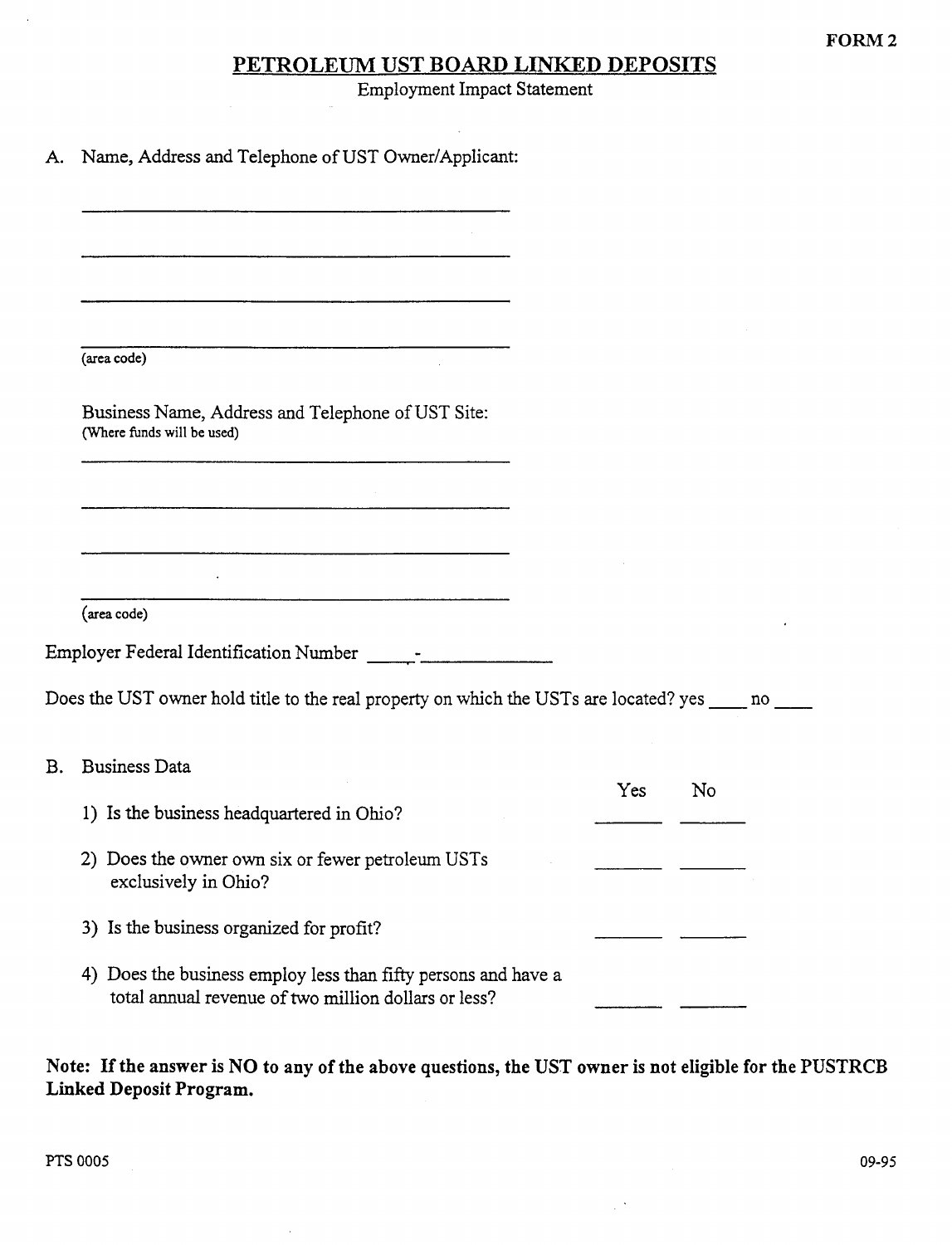## PETROLEUM UST BOARD LINKED DEPOSITS

Employment Impact Statement

 $\hat{\mathcal{A}}$ 

|  | A. Name, Address and Telephone of UST Owner/Applicant: |  |  |  |  |  |
|--|--------------------------------------------------------|--|--|--|--|--|
|--|--------------------------------------------------------|--|--|--|--|--|

| <u> 1980 - Januar Alexandri, manazar amerikan dan berasal dalam pengaran dalam pengaran dalam pengaran dalam penga</u> |     |    |  |
|------------------------------------------------------------------------------------------------------------------------|-----|----|--|
|                                                                                                                        |     |    |  |
| (area code)                                                                                                            |     |    |  |
| Business Name, Address and Telephone of UST Site:<br>(Where funds will be used)                                        |     |    |  |
|                                                                                                                        |     |    |  |
|                                                                                                                        |     |    |  |
|                                                                                                                        |     |    |  |
|                                                                                                                        |     |    |  |
| (area code)                                                                                                            |     |    |  |
|                                                                                                                        |     |    |  |
|                                                                                                                        |     |    |  |
| Does the UST owner hold title to the real property on which the USTs are located? yes _____ no ___                     |     |    |  |
| <b>Business Data</b><br><b>B.</b>                                                                                      |     |    |  |
|                                                                                                                        | Yes | No |  |
| 1) Is the business headquartered in Ohio?                                                                              |     |    |  |
| 2) Does the owner own six or fewer petroleum USTs<br>exclusively in Ohio?                                              |     |    |  |
| 3) Is the business organized for profit?                                                                               |     |    |  |
| 4) Does the business employ less than fifty persons and have a<br>total annual revenue of two million dollars or less? |     |    |  |

Note: If the answer is NO to any of the above questions, the UST owner is not eligible for the PUSTRCB Linked Deposit Program.

 $\bar{z}$ 

 $\mathbb{R}^3$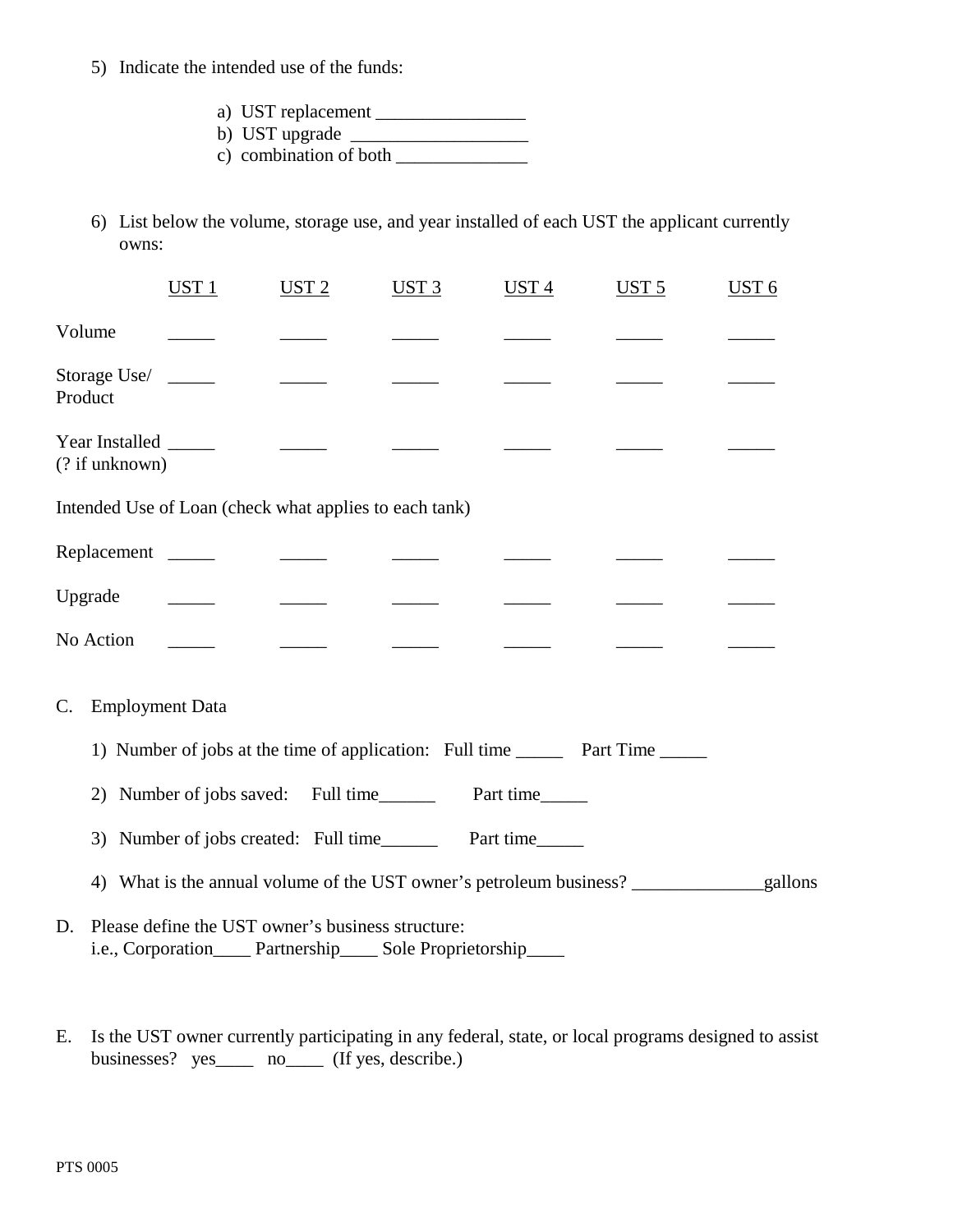- 5) Indicate the intended use of the funds:
	- a) UST replacement \_\_\_\_\_\_\_\_\_\_\_\_\_\_\_\_
	- b) UST upgrade \_\_\_\_\_\_\_\_\_\_\_\_\_\_\_\_\_\_\_
	- c) combination of both  $\_\_$
- 6) List below the volume, storage use, and year installed of each UST the applicant currently owns:

|                                                                                                                            | $UST_1$                                    | UST2                                       | UST3 | UST4 | UST <sub>5</sub>                                                                     | <b>UST 6</b> |  |  |
|----------------------------------------------------------------------------------------------------------------------------|--------------------------------------------|--------------------------------------------|------|------|--------------------------------------------------------------------------------------|--------------|--|--|
| Volume                                                                                                                     |                                            |                                            |      |      |                                                                                      |              |  |  |
| Storage Use/<br>Product                                                                                                    |                                            | $\frac{1}{2}$                              |      |      |                                                                                      |              |  |  |
| Year Installed ______<br>(? if unknown)                                                                                    |                                            |                                            |      |      |                                                                                      |              |  |  |
| Intended Use of Loan (check what applies to each tank)                                                                     |                                            |                                            |      |      |                                                                                      |              |  |  |
| Replacement ________                                                                                                       |                                            | <u> 1999 - Alban III, primeir a popula</u> |      |      |                                                                                      |              |  |  |
| Upgrade                                                                                                                    | <u> 1989 - Alban III, primeir a popula</u> | <u> 1990 - Jan Jawa</u>                    |      |      |                                                                                      |              |  |  |
| No Action                                                                                                                  |                                            | <u> a shekara ta 1999 a shekara t</u>      |      |      |                                                                                      |              |  |  |
| $\mathbf{C}$ .                                                                                                             | <b>Employment Data</b>                     |                                            |      |      |                                                                                      |              |  |  |
|                                                                                                                            |                                            |                                            |      |      | 1) Number of jobs at the time of application: Full time __________ Part Time _______ |              |  |  |
| Number of jobs saved: Full time__________ Part time______<br>(2)                                                           |                                            |                                            |      |      |                                                                                      |              |  |  |
| 3)                                                                                                                         |                                            |                                            |      |      |                                                                                      |              |  |  |
| 4)                                                                                                                         |                                            |                                            |      |      |                                                                                      |              |  |  |
| Please define the UST owner's business structure:<br>D.<br>i.e., Corporation_____ Partnership_____ Sole Proprietorship____ |                                            |                                            |      |      |                                                                                      |              |  |  |

E. Is the UST owner currently participating in any federal, state, or local programs designed to assist businesses? yes\_\_\_\_ no\_\_\_\_ (If yes, describe.)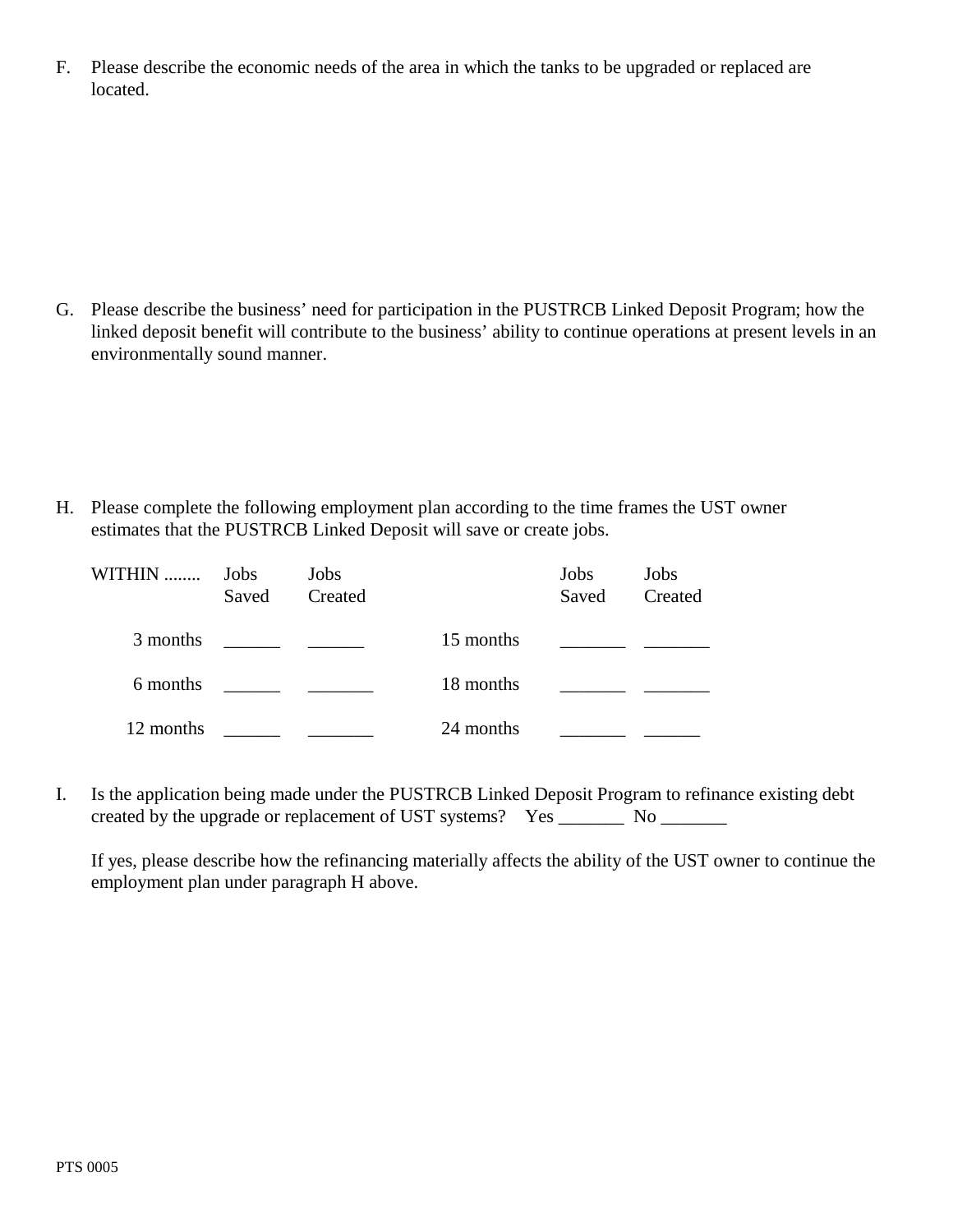F. Please describe the economic needs of the area in which the tanks to be upgraded or replaced are located.

G. Please describe the business' need for participation in the PUSTRCB Linked Deposit Program; how the linked deposit benefit will contribute to the business' ability to continue operations at present levels in an environmentally sound manner.

H. Please complete the following employment plan according to the time frames the UST owner estimates that the PUSTRCB Linked Deposit will save or create jobs.

| WITHIN    | Jobs<br>Saved | Jobs<br>Created |           | Jobs<br>Saved | Jobs<br>Created |
|-----------|---------------|-----------------|-----------|---------------|-----------------|
| 3 months  |               |                 | 15 months |               |                 |
| 6 months  |               |                 | 18 months |               |                 |
| 12 months |               |                 | 24 months |               |                 |

I. Is the application being made under the PUSTRCB Linked Deposit Program to refinance existing debt created by the upgrade or replacement of UST systems? Yes \_\_\_\_\_\_\_\_ No \_\_\_\_\_\_\_\_

If yes, please describe how the refinancing materially affects the ability of the UST owner to continue the employment plan under paragraph H above.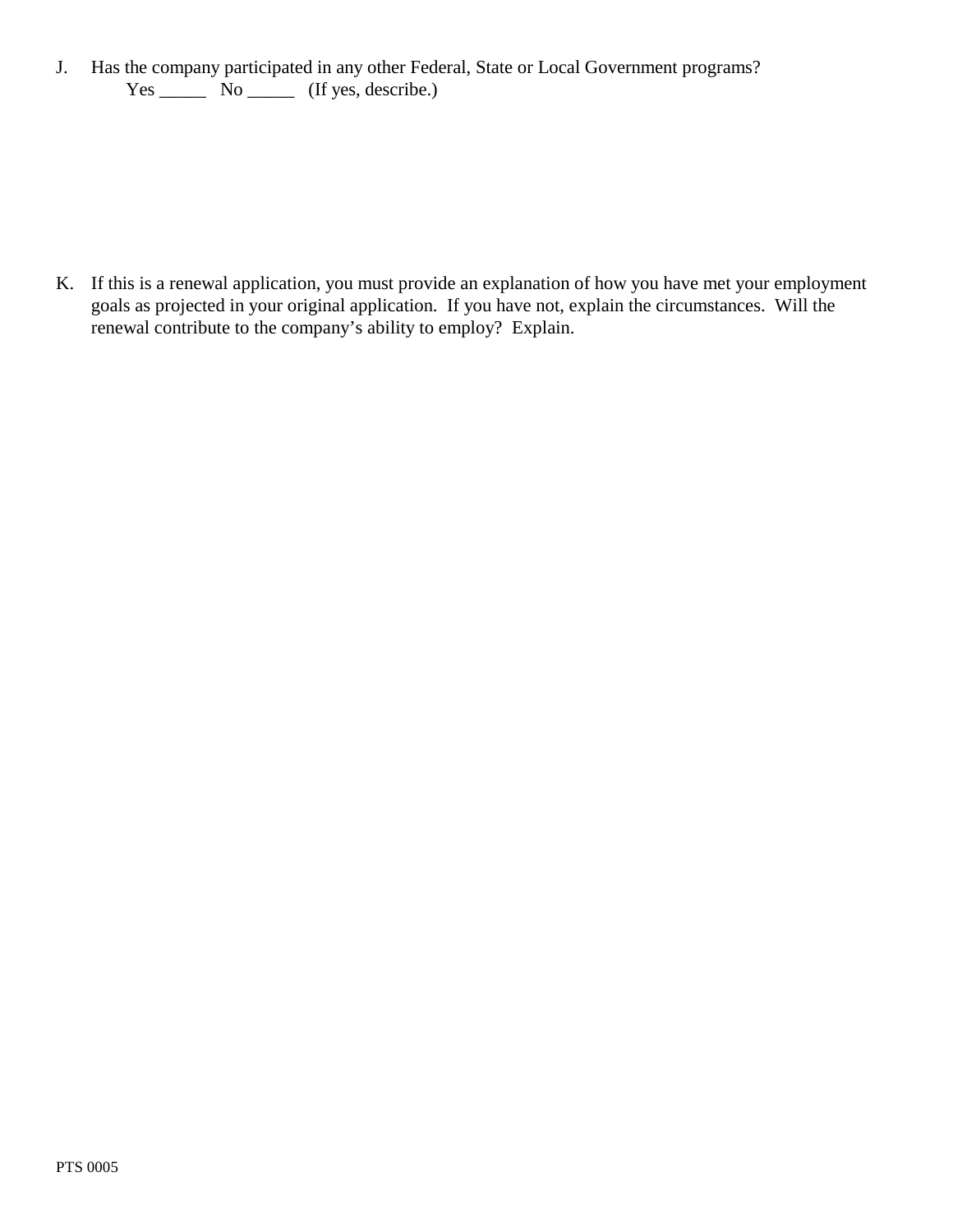J. Has the company participated in any other Federal, State or Local Government programs?  $Yes \_\_$  No  $\_\_$  (If yes, describe.)

K. If this is a renewal application, you must provide an explanation of how you have met your employment goals as projected in your original application. If you have not, explain the circumstances. Will the renewal contribute to the company's ability to employ? Explain.